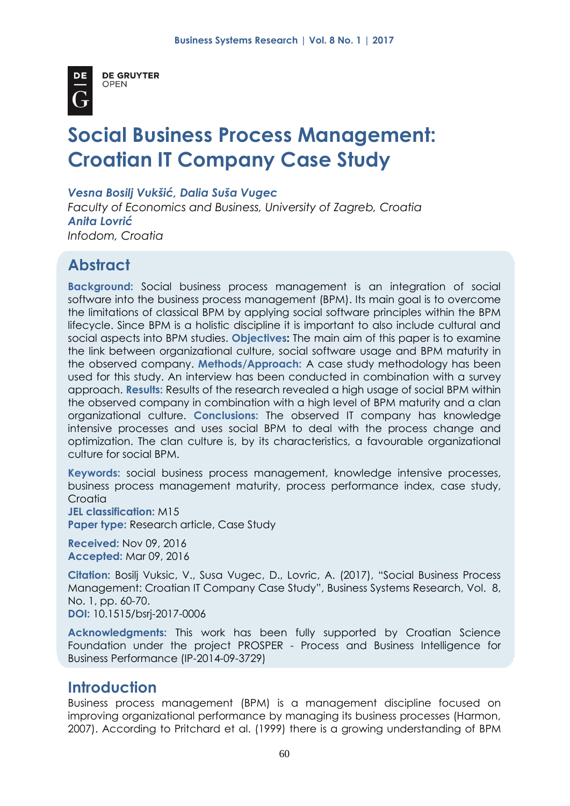

**DE GRUYTER OPEN** 

# **Social Business Process Management: Croatian IT Company Case Study**

*Vesna Bosilj Vukšić, Dalia Suša Vugec*

*Faculty of Economics and Business, University of Zagreb, Croatia Anita Lovrić Infodom, Croatia*

# **Abstract**

**Background:** Social business process management is an integration of social software into the business process management (BPM). Its main goal is to overcome the limitations of classical BPM by applying social software principles within the BPM lifecycle. Since BPM is a holistic discipline it is important to also include cultural and social aspects into BPM studies. **Objectives:** The main aim of this paper is to examine the link between organizational culture, social software usage and BPM maturity in the observed company. **Methods/Approach:** A case study methodology has been used for this study. An interview has been conducted in combination with a survey approach. **Results:** Results of the research revealed a high usage of social BPM within the observed company in combination with a high level of BPM maturity and a clan organizational culture. **Conclusions:** The observed IT company has knowledge intensive processes and uses social BPM to deal with the process change and optimization. The clan culture is, by its characteristics, a favourable organizational culture for social BPM.

**Keywords:** social business process management, knowledge intensive processes, business process management maturity, process performance index, case study, **Croatia** 

**JEL classification:** M15

**Paper type:** Research article, Case Study

**Received:** Nov 09, 2016 **Accepted:** Mar 09, 2016

**Citation:** Bosilj Vuksic, V., Susa Vugec, D., Lovric, A. (2017), "Social Business Process Management: Croatian IT Company Case Study", Business Systems Research, Vol. 8, No. 1, pp. 60-70.

**DOI:** 10.1515/bsrj-2017-0006

**Acknowledgments:** This work has been fully supported by Croatian Science Foundation under the project PROSPER - Process and Business Intelligence for Business Performance (IP-2014-09-3729)

## **Introduction**

Business process management (BPM) is a management discipline focused on improving organizational performance by managing its business processes (Harmon, 2007). According to Pritchard et al. (1999) there is a growing understanding of BPM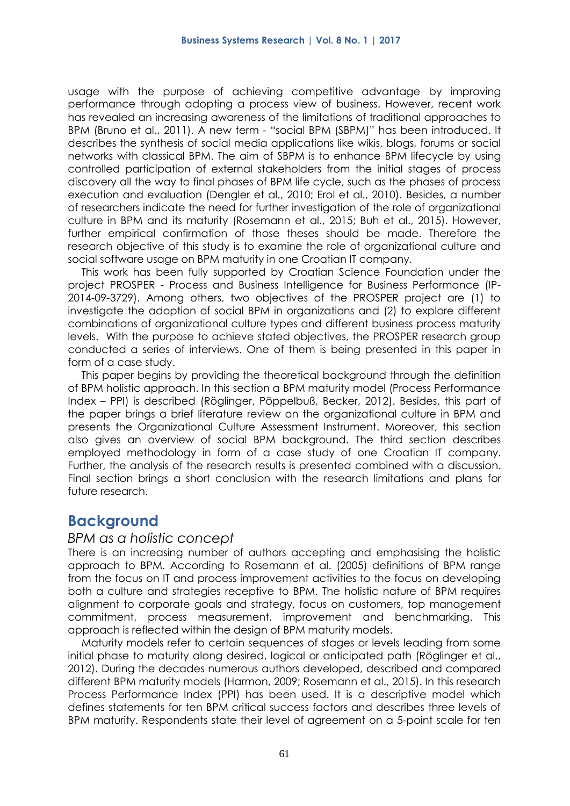usage with the purpose of achieving competitive advantage by improving performance through adopting a process view of business. However, recent work has revealed an increasing awareness of the limitations of traditional approaches to BPM (Bruno et al., 2011). A new term - "social BPM (SBPM)" has been introduced. It describes the synthesis of social media applications like wikis, blogs, forums or social networks with classical BPM. The aim of SBPM is to enhance BPM lifecycle by using controlled participation of external stakeholders from the initial stages of process discovery all the way to final phases of BPM life cycle, such as the phases of process execution and evaluation (Dengler et al., 2010; Erol et al., 2010). Besides, a number of researchers indicate the need for further investigation of the role of organizational culture in BPM and its maturity (Rosemann et al., 2015; Buh et al., 2015). However, further empirical confirmation of those theses should be made. Therefore the research objective of this study is to examine the role of organizational culture and social software usage on BPM maturity in one Croatian IT company.

This work has been fully supported by Croatian Science Foundation under the project PROSPER - Process and Business Intelligence for Business Performance (IP-2014-09-3729). Among others, two objectives of the PROSPER project are (1) to investigate the adoption of social BPM in organizations and (2) to explore different combinations of organizational culture types and different business process maturity levels. With the purpose to achieve stated objectives, the PROSPER research group conducted a series of interviews. One of them is being presented in this paper in form of a case study.

This paper begins by providing the theoretical background through the definition of BPM holistic approach. In this section a BPM maturity model (Process Performance Index – PPI) is described (Röglinger, Pöppelbuß, Becker, 2012). Besides, this part of the paper brings a brief literature review on the organizational culture in BPM and presents the Organizational Culture Assessment Instrument. Moreover, this section also gives an overview of social BPM background. The third section describes employed methodology in form of a case study of one Croatian IT company. Further, the analysis of the research results is presented combined with a discussion. Final section brings a short conclusion with the research limitations and plans for future research.

## **Background**

#### *BPM as a holistic concept*

There is an increasing number of authors accepting and emphasising the holistic approach to BPM. According to Rosemann et al. (2005) definitions of BPM range from the focus on IT and process improvement activities to the focus on developing both a culture and strategies receptive to BPM. The holistic nature of BPM requires alignment to corporate goals and strategy, focus on customers, top management commitment, process measurement, improvement and benchmarking. This approach is reflected within the design of BPM maturity models.

Maturity models refer to certain sequences of stages or levels leading from some initial phase to maturity along desired, logical or anticipated path (Röglinger et al., 2012). During the decades numerous authors developed, described and compared different BPM maturity models (Harmon, 2009; Rosemann et al., 2015). In this research Process Performance Index (PPI) has been used. It is a descriptive model which defines statements for ten BPM critical success factors and describes three levels of BPM maturity. Respondents state their level of agreement on a 5-point scale for ten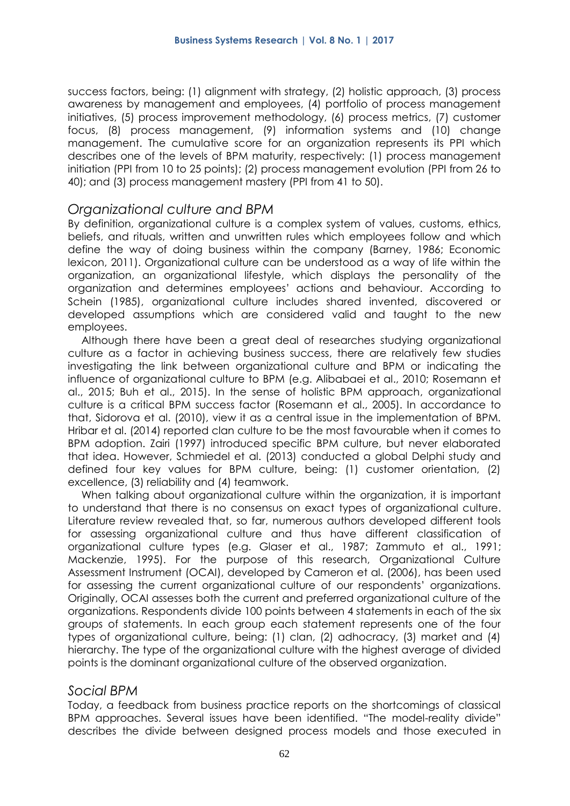success factors, being: (1) alignment with strategy, (2) holistic approach, (3) process awareness by management and employees, (4) portfolio of process management initiatives, (5) process improvement methodology, (6) process metrics, (7) customer focus, (8) process management, (9) information systems and (10) change management. The cumulative score for an organization represents its PPI which describes one of the levels of BPM maturity, respectively: (1) process management initiation (PPI from 10 to 25 points); (2) process management evolution (PPI from 26 to 40); and (3) process management mastery (PPI from 41 to 50).

#### *Organizational culture and BPM*

By definition, organizational culture is a complex system of values, customs, ethics, beliefs, and rituals, written and unwritten rules which employees follow and which define the way of doing business within the company (Barney, 1986; Economic lexicon, 2011). Organizational culture can be understood as a way of life within the organization, an organizational lifestyle, which displays the personality of the organization and determines employees' actions and behaviour. According to Schein (1985), organizational culture includes shared invented, discovered or developed assumptions which are considered valid and taught to the new employees.

Although there have been a great deal of researches studying organizational culture as a factor in achieving business success, there are relatively few studies investigating the link between organizational culture and BPM or indicating the influence of organizational culture to BPM (e.g. Alibabaei et al., 2010; Rosemann et al., 2015; Buh et al., 2015). In the sense of holistic BPM approach, organizational culture is a critical BPM success factor (Rosemann et al., 2005). In accordance to that, Sidorova et al. (2010), view it as a central issue in the implementation of BPM. Hribar et al. (2014) reported clan culture to be the most favourable when it comes to BPM adoption. Zairi (1997) introduced specific BPM culture, but never elaborated that idea. However, Schmiedel et al. (2013) conducted a global Delphi study and defined four key values for BPM culture, being: (1) customer orientation, (2) excellence, (3) reliability and (4) teamwork.

When talking about organizational culture within the organization, it is important to understand that there is no consensus on exact types of organizational culture. Literature review revealed that, so far, numerous authors developed different tools for assessing organizational culture and thus have different classification of organizational culture types (e.g. Glaser et al., 1987; Zammuto et al., 1991; Mackenzie, 1995). For the purpose of this research, Organizational Culture Assessment Instrument (OCAI), developed by Cameron et al. (2006), has been used for assessing the current organizational culture of our respondents' organizations. Originally, OCAI assesses both the current and preferred organizational culture of the organizations. Respondents divide 100 points between 4 statements in each of the six groups of statements. In each group each statement represents one of the four types of organizational culture, being: (1) clan, (2) adhocracy, (3) market and (4) hierarchy. The type of the organizational culture with the highest average of divided points is the dominant organizational culture of the observed organization.

#### *Social BPM*

Today, a feedback from business practice reports on the shortcomings of classical BPM approaches. Several issues have been identified. "The model-reality divide" describes the divide between designed process models and those executed in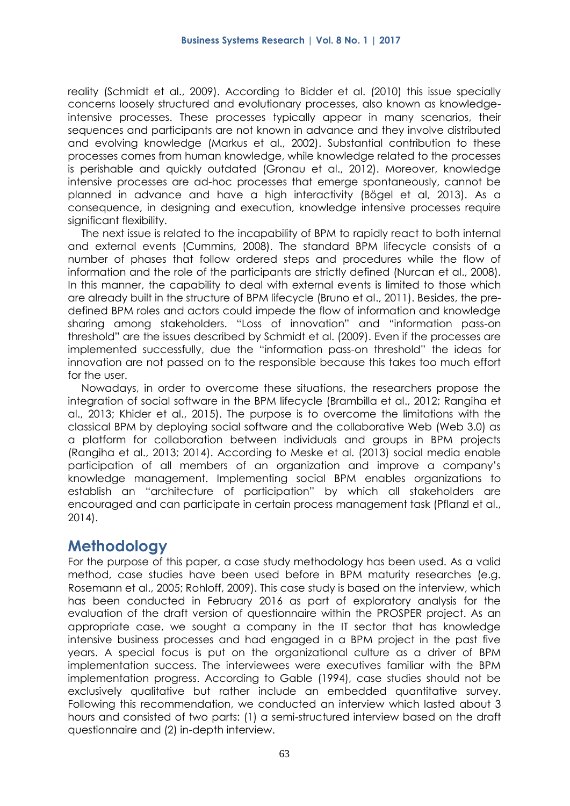reality (Schmidt et al., 2009). According to Bidder et al. (2010) this issue specially concerns loosely structured and evolutionary processes, also known as knowledgeintensive processes. These processes typically appear in many scenarios, their sequences and participants are not known in advance and they involve distributed and evolving knowledge (Markus et al., 2002). Substantial contribution to these processes comes from human knowledge, while knowledge related to the processes is perishable and quickly outdated (Gronau et al., 2012). Moreover, knowledge intensive processes are ad-hoc processes that emerge spontaneously, cannot be planned in advance and have a high interactivity (Bögel et al, 2013). As a consequence, in designing and execution, knowledge intensive processes require significant flexibility.

The next issue is related to the incapability of BPM to rapidly react to both internal and external events (Cummins, 2008). The standard BPM lifecycle consists of a number of phases that follow ordered steps and procedures while the flow of information and the role of the participants are strictly defined (Nurcan et al., 2008). In this manner, the capability to deal with external events is limited to those which are already built in the structure of BPM lifecycle (Bruno et al., 2011). Besides, the predefined BPM roles and actors could impede the flow of information and knowledge sharing among stakeholders. "Loss of innovation" and "information pass-on threshold" are the issues described by Schmidt et al. (2009). Even if the processes are implemented successfully, due the "information pass-on threshold" the ideas for innovation are not passed on to the responsible because this takes too much effort for the user.

Nowadays, in order to overcome these situations, the researchers propose the integration of social software in the BPM lifecycle (Brambilla et al., 2012; Rangiha et al., 2013; Khider et al., 2015). The purpose is to overcome the limitations with the classical BPM by deploying social software and the collaborative Web (Web 3.0) as a platform for collaboration between individuals and groups in BPM projects (Rangiha et al., 2013; 2014). According to Meske et al. (2013) social media enable participation of all members of an organization and improve a company's knowledge management. Implementing social BPM enables organizations to establish an "architecture of participation" by which all stakeholders are encouraged and can participate in certain process management task (Pflanzl et al., 2014).

## **Methodology**

For the purpose of this paper, a case study methodology has been used. As a valid method, case studies have been used before in BPM maturity researches (e.g. Rosemann et al., 2005; Rohloff, 2009). This case study is based on the interview, which has been conducted in February 2016 as part of exploratory analysis for the evaluation of the draft version of questionnaire within the PROSPER project. As an appropriate case, we sought a company in the IT sector that has knowledge intensive business processes and had engaged in a BPM project in the past five years. A special focus is put on the organizational culture as a driver of BPM implementation success. The interviewees were executives familiar with the BPM implementation progress. According to Gable (1994), case studies should not be exclusively qualitative but rather include an embedded quantitative survey. Following this recommendation, we conducted an interview which lasted about 3 hours and consisted of two parts: (1) a semi-structured interview based on the draft questionnaire and (2) in-depth interview.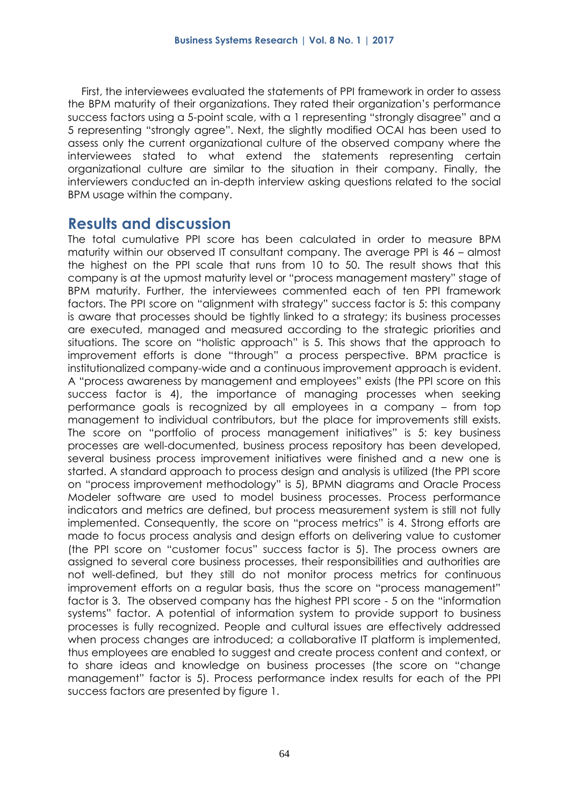First, the interviewees evaluated the statements of PPI framework in order to assess the BPM maturity of their organizations. They rated their organization's performance success factors using a 5-point scale, with a 1 representing "strongly disagree" and a 5 representing "strongly agree". Next, the slightly modified OCAI has been used to assess only the current organizational culture of the observed company where the interviewees stated to what extend the statements representing certain organizational culture are similar to the situation in their company. Finally, the interviewers conducted an in-depth interview asking questions related to the social BPM usage within the company.

#### **Results and discussion**

The total cumulative PPI score has been calculated in order to measure BPM maturity within our observed IT consultant company. The average PPI is 46 – almost the highest on the PPI scale that runs from 10 to 50. The result shows that this company is at the upmost maturity level or "process management mastery" stage of BPM maturity. Further, the interviewees commented each of ten PPI framework factors. The PPI score on "alignment with strategy" success factor is 5: this company is aware that processes should be tightly linked to a strategy; its business processes are executed, managed and measured according to the strategic priorities and situations. The score on "holistic approach" is 5. This shows that the approach to improvement efforts is done "through" a process perspective. BPM practice is institutionalized company-wide and a continuous improvement approach is evident. A "process awareness by management and employees" exists (the PPI score on this success factor is 4), the importance of managing processes when seeking performance goals is recognized by all employees in a company – from top management to individual contributors, but the place for improvements still exists. The score on "portfolio of process management initiatives" is 5: key business processes are well-documented, business process repository has been developed, several business process improvement initiatives were finished and a new one is started. A standard approach to process design and analysis is utilized (the PPI score on "process improvement methodology" is 5), BPMN diagrams and Oracle Process Modeler software are used to model business processes. Process performance indicators and metrics are defined, but process measurement system is still not fully implemented. Consequently, the score on "process metrics" is 4. Strong efforts are made to focus process analysis and design efforts on delivering value to customer (the PPI score on "customer focus" success factor is 5). The process owners are assigned to several core business processes, their responsibilities and authorities are not well-defined, but they still do not monitor process metrics for continuous improvement efforts on a regular basis, thus the score on "process management" factor is 3. The observed company has the highest PPI score - 5 on the "information systems" factor. A potential of information system to provide support to business processes is fully recognized. People and cultural issues are effectively addressed when process changes are introduced; a collaborative IT platform is implemented, thus employees are enabled to suggest and create process content and context, or to share ideas and knowledge on business processes (the score on "change management" factor is 5). Process performance index results for each of the PPI success factors are presented by figure 1.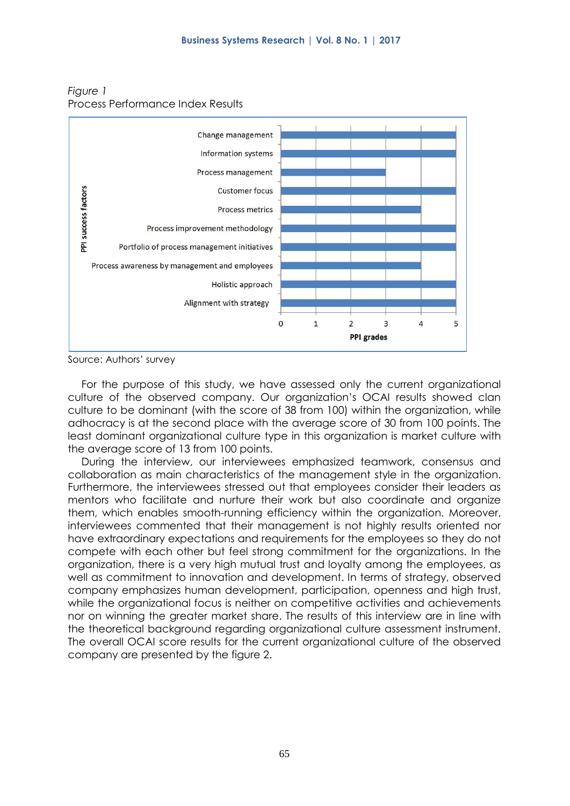

*Figure 1* Process Performance Index Results

Source: Authors' survey

For the purpose of this study, we have assessed only the current organizational culture of the observed company. Our organization's OCAI results showed clan culture to be dominant (with the score of 38 from 100) within the organization, while adhocracy is at the second place with the average score of 30 from 100 points. The least dominant organizational culture type in this organization is market culture with the average score of 13 from 100 points.

During the interview, our interviewees emphasized teamwork, consensus and collaboration as main characteristics of the management style in the organization. Furthermore, the interviewees stressed out that employees consider their leaders as mentors who facilitate and nurture their work but also coordinate and organize them, which enables smooth-running efficiency within the organization. Moreover, interviewees commented that their management is not highly results oriented nor have extraordinary expectations and requirements for the employees so they do not compete with each other but feel strong commitment for the organizations. In the organization, there is a very high mutual trust and loyalty among the employees, as well as commitment to innovation and development. In terms of strategy, observed company emphasizes human development, participation, openness and high trust, while the organizational focus is neither on competitive activities and achievements nor on winning the greater market share. The results of this interview are in line with the theoretical background regarding organizational culture assessment instrument. The overall OCAI score results for the current organizational culture of the observed company are presented by the figure 2.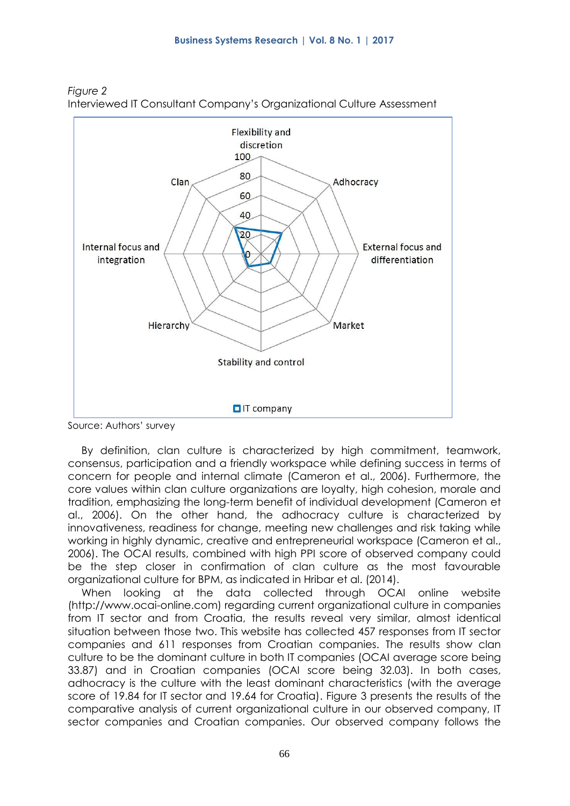

*Figure 2* Interviewed IT Consultant Company's Organizational Culture Assessment

Source: Authors' survey

By definition, clan culture is characterized by high commitment, teamwork, consensus, participation and a friendly workspace while defining success in terms of concern for people and internal climate (Cameron et al., 2006). Furthermore, the core values within clan culture organizations are loyalty, high cohesion, morale and tradition, emphasizing the long-term benefit of individual development (Cameron et al., 2006). On the other hand, the adhocracy culture is characterized by innovativeness, readiness for change, meeting new challenges and risk taking while working in highly dynamic, creative and entrepreneurial workspace (Cameron et al., 2006). The OCAI results, combined with high PPI score of observed company could be the step closer in confirmation of clan culture as the most favourable organizational culture for BPM, as indicated in Hribar et al. (2014).

When looking at the data collected through OCAI online website (http://www.ocai-online.com) regarding current organizational culture in companies from IT sector and from Croatia, the results reveal very similar, almost identical situation between those two. This website has collected 457 responses from IT sector companies and 611 responses from Croatian companies. The results show clan culture to be the dominant culture in both IT companies (OCAI average score being 33.87) and in Croatian companies (OCAI score being 32.03). In both cases, adhocracy is the culture with the least dominant characteristics (with the average score of 19.84 for IT sector and 19.64 for Croatia). Figure 3 presents the results of the comparative analysis of current organizational culture in our observed company, IT sector companies and Croatian companies. Our observed company follows the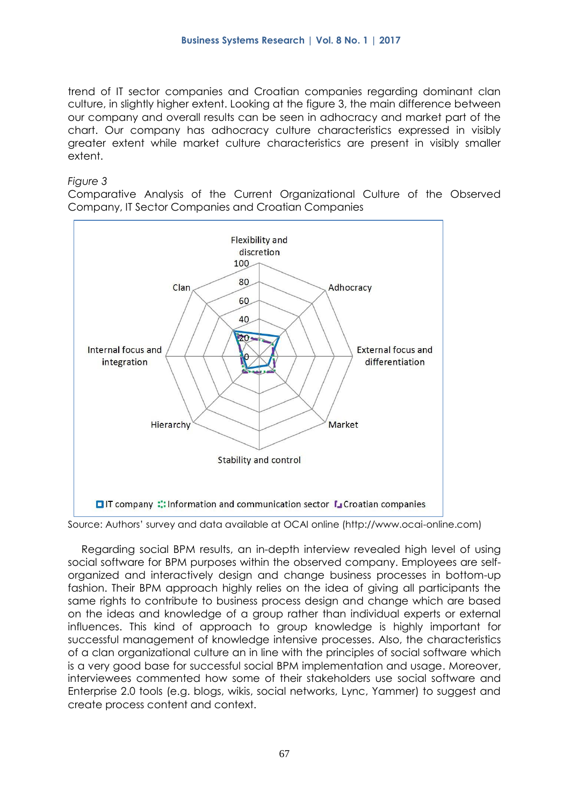trend of IT sector companies and Croatian companies regarding dominant clan culture, in slightly higher extent. Looking at the figure 3, the main difference between our company and overall results can be seen in adhocracy and market part of the chart. Our company has adhocracy culture characteristics expressed in visibly greater extent while market culture characteristics are present in visibly smaller extent.

#### *Figure 3*

Comparative Analysis of the Current Organizational Culture of the Observed Company, IT Sector Companies and Croatian Companies



Source: Authors' survey and data available at OCAI online (http://www.ocai-online.com)

Regarding social BPM results, an in-depth interview revealed high level of using social software for BPM purposes within the observed company. Employees are selforganized and interactively design and change business processes in bottom-up fashion. Their BPM approach highly relies on the idea of giving all participants the same rights to contribute to business process design and change which are based on the ideas and knowledge of a group rather than individual experts or external influences. This kind of approach to group knowledge is highly important for successful management of knowledge intensive processes. Also, the characteristics of a clan organizational culture an in line with the principles of social software which is a very good base for successful social BPM implementation and usage. Moreover, interviewees commented how some of their stakeholders use social software and Enterprise 2.0 tools (e.g. blogs, wikis, social networks, Lync, Yammer) to suggest and create process content and context.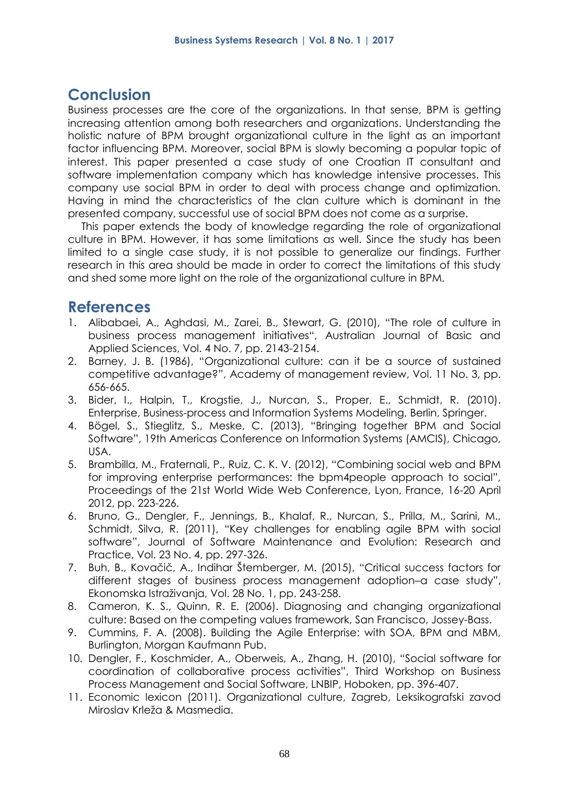# **Conclusion**

Business processes are the core of the organizations. In that sense, BPM is getting increasing attention among both researchers and organizations. Understanding the holistic nature of BPM brought organizational culture in the light as an important factor influencing BPM. Moreover, social BPM is slowly becoming a popular topic of interest. This paper presented a case study of one Croatian IT consultant and software implementation company which has knowledge intensive processes. This company use social BPM in order to deal with process change and optimization. Having in mind the characteristics of the clan culture which is dominant in the presented company, successful use of social BPM does not come as a surprise.

This paper extends the body of knowledge regarding the role of organizational culture in BPM. However, it has some limitations as well. Since the study has been limited to a single case study, it is not possible to generalize our findings. Further research in this area should be made in order to correct the limitations of this study and shed some more light on the role of the organizational culture in BPM.

## **References**

- 1. Alibabaei, A., Aghdasi, M., Zarei, B., Stewart, G. (2010), "The role of culture in business process management initiatives", Australian Journal of Basic and Applied Sciences, Vol. 4 No. 7, pp. 2143-2154.
- 2. Barney, J. B. (1986), "Organizational culture: can it be a source of sustained competitive advantage?", Academy of management review, Vol. 11 No. 3, pp. 656-665.
- 3. Bider, I., Halpin, T., Krogstie, J., Nurcan, S., Proper, E., Schmidt, R. (2010). Enterprise, Business-process and Information Systems Modeling, Berlin, Springer.
- 4. Bögel, S., Stieglitz, S., Meske, C. (2013), "Bringing together BPM and Social Software", 19th Americas Conference on Information Systems (AMCIS), Chicago, USA.
- 5. Brambilla, M., Fraternali, P., Ruiz, C. K. V. (2012), "Combining social web and BPM for improving enterprise performances: the bpm4people approach to social", Proceedings of the 21st World Wide Web Conference, Lyon, France, 16-20 April 2012, pp. 223-226.
- 6. Bruno, G., Dengler, F., Jennings, B., Khalaf, R., Nurcan, S., Prilla, M., Sarini, M., Schmidt, Silva, R. (2011), "Key challenges for enabling agile BPM with social software", Journal of Software Maintenance and Evolution: Research and Practice, Vol. 23 No. 4, pp. 297-326.
- 7. Buh, B., Kovačič, A., Indihar Štemberger, M. (2015), "Critical success factors for different stages of business process management adoption–a case study", Ekonomska Istraživanja, Vol. 28 No. 1, pp. 243-258.
- 8. Cameron, K. S., Quinn, R. E. (2006). Diagnosing and changing organizational culture: Based on the competing values framework, San Francisco, Jossey-Bass.
- 9. Cummins, F. A. (2008). Building the Agile Enterprise: with SOA, BPM and MBM, Burlington, Morgan Kaufmann Pub.
- 10. Dengler, F., Koschmider, A., Oberweis, A., Zhang, H. (2010), "Social software for coordination of collaborative process activities", Third Workshop on Business Process Management and Social Software, LNBIP, Hoboken, pp. 396-407.
- 11. Economic lexicon (2011). Organizational culture, Zagreb, Leksikografski zavod Miroslav Krleža & Masmedia.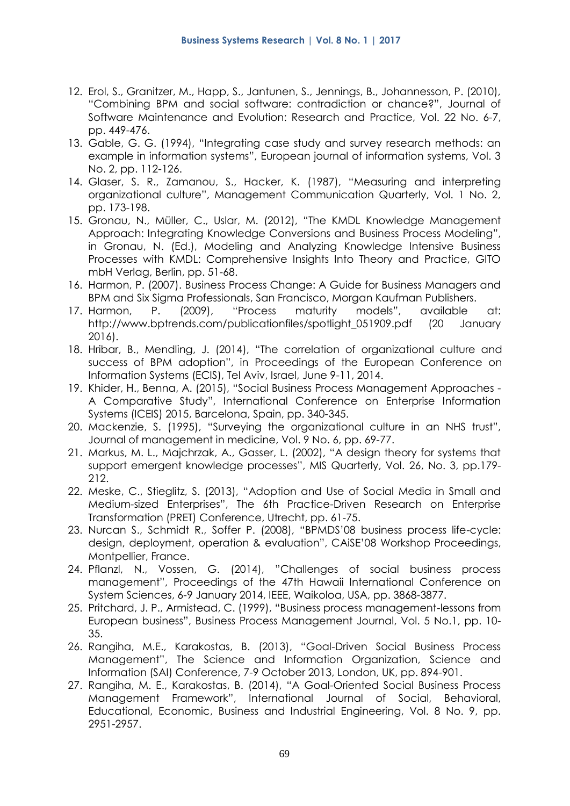- 12. Erol, S., Granitzer, M., Happ, S., Jantunen, S., Jennings, B., Johannesson, P. (2010), "Combining BPM and social software: contradiction or chance?", Journal of Software Maintenance and Evolution: Research and Practice, Vol. 22 No. 6-7, pp. 449-476.
- 13. Gable, G. G. (1994), "Integrating case study and survey research methods: an example in information systems", European journal of information systems, Vol. 3 No. 2, pp. 112-126.
- 14. Glaser, S. R., Zamanou, S., Hacker, K. (1987), "Measuring and interpreting organizational culture", Management Communication Quarterly, Vol. 1 No. 2, pp. 173-198.
- 15. Gronau, N., Müller, C., Uslar, M. (2012), "The KMDL Knowledge Management Approach: Integrating Knowledge Conversions and Business Process Modeling", in Gronau, N. (Ed.), Modeling and Analyzing Knowledge Intensive Business Processes with KMDL: Comprehensive Insights Into Theory and Practice, GITO mbH Verlag, Berlin, pp. 51-68.
- 16. Harmon, P. (2007). Business Process Change: A Guide for Business Managers and BPM and Six Sigma Professionals, San Francisco, Morgan Kaufman Publishers.
- 17. Harmon, P. (2009), "Process maturity models", available at: http://www.bptrends.com/publicationfiles/spotlight\_051909.pdf (20 January 2016).
- 18. Hribar, B., Mendling, J. (2014), "The correlation of organizational culture and success of BPM adoption", in Proceedings of the European Conference on Information Systems (ECIS), Tel Aviv, Israel, June 9-11, 2014.
- 19. Khider, H., Benna, A. (2015), "Social Business Process Management Approaches A Comparative Study", International Conference on Enterprise Information Systems (ICEIS) 2015, Barcelona, Spain, pp. 340-345.
- 20. Mackenzie, S. (1995), "Surveying the organizational culture in an NHS trust", Journal of management in medicine, Vol. 9 No. 6, pp. 69-77.
- 21. Markus, M. L., Majchrzak, A., Gasser, L. (2002), "A design theory for systems that support emergent knowledge processes", MIS Quarterly, Vol. 26, No. 3, pp.179- 212.
- 22. Meske, C., Stieglitz, S. (2013), "Adoption and Use of Social Media in Small and Medium-sized Enterprises", The 6th Practice-Driven Research on Enterprise Transformation (PRET) Conference, Utrecht, pp. 61-75.
- 23. Nurcan S., Schmidt R., Soffer P. (2008), "BPMDS'08 business process life-cycle: design, deployment, operation & evaluation", CAiSE'08 Workshop Proceedings, Montpellier, France.
- 24. Pflanzl, N., Vossen, G. (2014), "Challenges of social business process management", Proceedings of the 47th Hawaii International Conference on System Sciences, 6-9 January 2014, IEEE, Waikoloa, USA, pp. 3868-3877.
- 25. Pritchard, J. P., Armistead, C. (1999), "Business process management-lessons from European business", Business Process Management Journal, Vol. 5 No.1, pp. 10- 35.
- 26. Rangiha, M.E., Karakostas, B. (2013), "Goal-Driven Social Business Process Management", The Science and Information Organization, Science and Information (SAI) Conference, 7-9 October 2013, London, UK, pp. 894-901.
- 27. Rangiha, M. E., Karakostas, B. (2014), "A Goal-Oriented Social Business Process Management Framework", International Journal of Social, Behavioral, Educational, Economic, Business and Industrial Engineering, Vol. 8 No. 9, pp. 2951-2957.